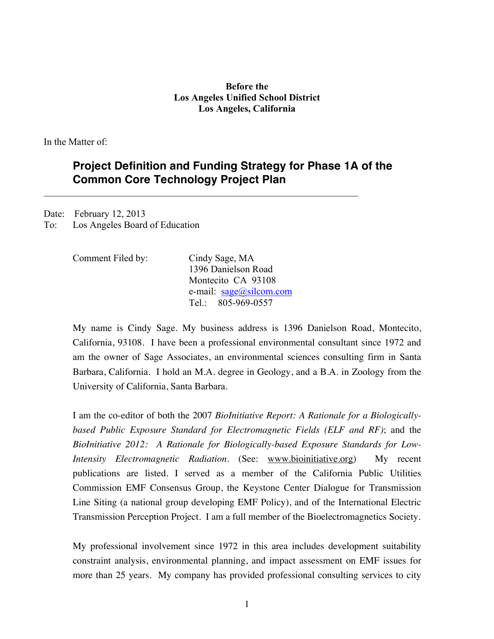### **Before the Los Angeles Unified School District Los Angeles, California**

In the Matter of:

# **Project Definition and Funding Strategy for Phase 1A of the Common Core Technology Project Plan**

Date: February 12, 2013 To: Los Angeles Board of Education

| Comment Filed by: | Cindy Sage, MA                      |
|-------------------|-------------------------------------|
|                   | 1396 Danielson Road                 |
|                   | Montecito CA 93108                  |
|                   | e-mail: $\text{sage}(a)$ silcom.com |
|                   | Tel: $805-969-0557$                 |

 $\mathcal{L}_\mathcal{L} = \{ \mathcal{L}_\mathcal{L} = \{ \mathcal{L}_\mathcal{L} = \{ \mathcal{L}_\mathcal{L} = \{ \mathcal{L}_\mathcal{L} = \{ \mathcal{L}_\mathcal{L} = \{ \mathcal{L}_\mathcal{L} = \{ \mathcal{L}_\mathcal{L} = \{ \mathcal{L}_\mathcal{L} = \{ \mathcal{L}_\mathcal{L} = \{ \mathcal{L}_\mathcal{L} = \{ \mathcal{L}_\mathcal{L} = \{ \mathcal{L}_\mathcal{L} = \{ \mathcal{L}_\mathcal{L} = \{ \mathcal{L}_\mathcal{$ 

My name is Cindy Sage. My business address is 1396 Danielson Road, Montecito, California, 93108. I have been a professional environmental consultant since 1972 and am the owner of Sage Associates, an environmental sciences consulting firm in Santa Barbara, California. I hold an M.A. degree in Geology, and a B.A. in Zoology from the University of California, Santa Barbara.

I am the co-editor of both the 2007 *BioInitiative Report: A Rationale for a Biologicallybased Public Exposure Standard for Electromagnetic Fields (ELF and RF)*; and the *BioInitiative 2012: A Rationale for Biologically-based Exposure Standards for Low-Intensity Electromagnetic Radiation.* (See: www.bioinitiative.org) My recent publications are listed. I served as a member of the California Public Utilities Commission EMF Consensus Group, the Keystone Center Dialogue for Transmission Line Siting (a national group developing EMF Policy), and of the International Electric Transmission Perception Project. I am a full member of the Bioelectromagnetics Society.

My professional involvement since 1972 in this area includes development suitability constraint analysis, environmental planning, and impact assessment on EMF issues for more than 25 years. My company has provided professional consulting services to city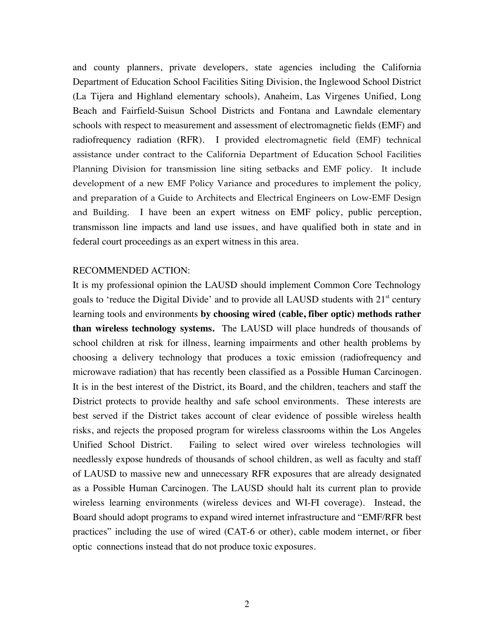and county planners, private developers, state agencies including the California Department of Education School Facilities Siting Division, the Inglewood School District (La Tijera and Highland elementary schools), Anaheim, Las Virgenes Unified, Long Beach and Fairfield-Suisun School Districts and Fontana and Lawndale elementary schools with respect to measurement and assessment of electromagnetic fields (EMF) and radiofrequency radiation (RFR). I provided electromagnetic field (EMF) technical assistance under contract to the California Department of Education School Facilities Planning Division for transmission line siting setbacks and EMF policy. It include development of a new EMF Policy Variance and procedures to implement the policy, and preparation of a Guide to Architects and Electrical Engineers on Low-EMF Design and Building. I have been an expert witness on EMF policy, public perception, transmisson line impacts and land use issues, and have qualified both in state and in federal court proceedings as an expert witness in this area.

#### RECOMMENDED ACTION:

It is my professional opinion the LAUSD should implement Common Core Technology goals to 'reduce the Digital Divide' and to provide all LAUSD students with  $21<sup>st</sup>$  century learning tools and environments **by choosing wired (cable, fiber optic) methods rather than wireless technology systems.** The LAUSD will place hundreds of thousands of school children at risk for illness, learning impairments and other health problems by choosing a delivery technology that produces a toxic emission (radiofrequency and microwave radiation) that has recently been classified as a Possible Human Carcinogen. It is in the best interest of the District, its Board, and the children, teachers and staff the District protects to provide healthy and safe school environments. These interests are best served if the District takes account of clear evidence of possible wireless health risks, and rejects the proposed program for wireless classrooms within the Los Angeles Unified School District. Failing to select wired over wireless technologies will needlessly expose hundreds of thousands of school children, as well as faculty and staff of LAUSD to massive new and unnecessary RFR exposures that are already designated as a Possible Human Carcinogen. The LAUSD should halt its current plan to provide wireless learning environments (wireless devices and WI-FI coverage). Instead, the Board should adopt programs to expand wired internet infrastructure and "EMF/RFR best practices" including the use of wired (CAT-6 or other), cable modem internet, or fiber optic connections instead that do not produce toxic exposures.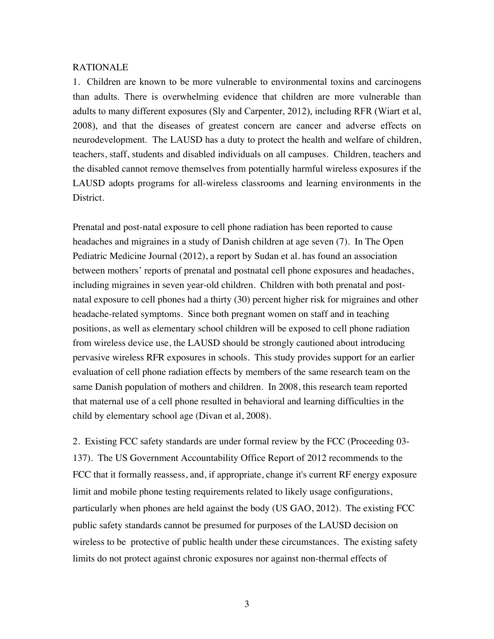#### RATIONALE

1. Children are known to be more vulnerable to environmental toxins and carcinogens than adults. There is overwhelming evidence that children are more vulnerable than adults to many different exposures (Sly and Carpenter, 2012), including RFR (Wiart et al, 2008), and that the diseases of greatest concern are cancer and adverse effects on neurodevelopment. The LAUSD has a duty to protect the health and welfare of children, teachers, staff, students and disabled individuals on all campuses. Children, teachers and the disabled cannot remove themselves from potentially harmful wireless exposures if the LAUSD adopts programs for all-wireless classrooms and learning environments in the District.

Prenatal and post-natal exposure to cell phone radiation has been reported to cause headaches and migraines in a study of Danish children at age seven (7). In The Open Pediatric Medicine Journal (2012), a report by Sudan et al. has found an association between mothers' reports of prenatal and postnatal cell phone exposures and headaches, including migraines in seven year-old children. Children with both prenatal and postnatal exposure to cell phones had a thirty (30) percent higher risk for migraines and other headache-related symptoms. Since both pregnant women on staff and in teaching positions, as well as elementary school children will be exposed to cell phone radiation from wireless device use, the LAUSD should be strongly cautioned about introducing pervasive wireless RFR exposures in schools. This study provides support for an earlier evaluation of cell phone radiation effects by members of the same research team on the same Danish population of mothers and children. In 2008, this research team reported that maternal use of a cell phone resulted in behavioral and learning difficulties in the child by elementary school age (Divan et al, 2008).

2. Existing FCC safety standards are under formal review by the FCC (Proceeding 03- 137). The US Government Accountability Office Report of 2012 recommends to the FCC that it formally reassess, and, if appropriate, change it's current RF energy exposure limit and mobile phone testing requirements related to likely usage configurations, particularly when phones are held against the body (US GAO, 2012). The existing FCC public safety standards cannot be presumed for purposes of the LAUSD decision on wireless to be protective of public health under these circumstances. The existing safety limits do not protect against chronic exposures nor against non-thermal effects of

3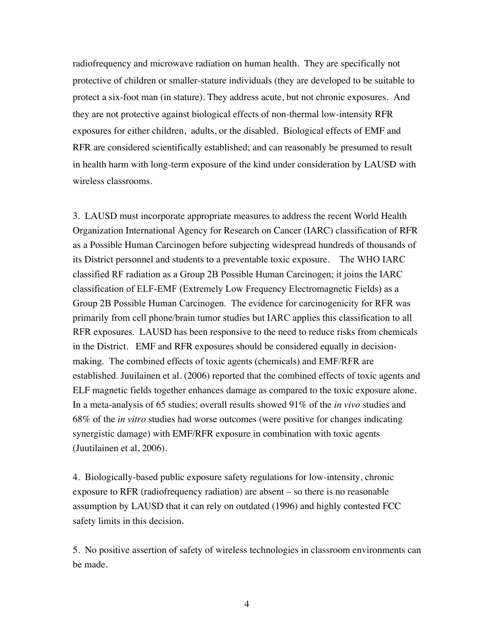radiofrequency and microwave radiation on human health. They are specifically not protective of children or smaller-stature individuals (they are developed to be suitable to protect a six-foot man (in stature). They address acute, but not chronic exposures. And they are not protective against biological effects of non-thermal low-intensity RFR exposures for either children, adults, or the disabled. Biological effects of EMF and RFR are considered scientifically established; and can reasonably be presumed to result in health harm with long-term exposure of the kind under consideration by LAUSD with wireless classrooms.

3. LAUSD must incorporate appropriate measures to address the recent World Health Organization International Agency for Research on Cancer (IARC) classification of RFR as a Possible Human Carcinogen before subjecting widespread hundreds of thousands of its District personnel and students to a preventable toxic exposure. The WHO IARC classified RF radiation as a Group 2B Possible Human Carcinogen; it joins the IARC classification of ELF-EMF (Extremely Low Frequency Electromagnetic Fields) as a Group 2B Possible Human Carcinogen. The evidence for carcinogenicity for RFR was primarily from cell phone/brain tumor studies but IARC applies this classification to all RFR exposures. LAUSD has been responsive to the need to reduce risks from chemicals in the District. EMF and RFR exposures should be considered equally in decisionmaking. The combined effects of toxic agents (chemicals) and EMF/RFR are established. Juuilainen et al. (2006) reported that the combined effects of toxic agents and ELF magnetic fields together enhances damage as compared to the toxic exposure alone. In a meta-analysis of 65 studies; overall results showed 91% of the *in vivo* studies and 68% of the *in vitro* studies had worse outcomes (were positive for changes indicating synergistic damage) with EMF/RFR exposure in combination with toxic agents (Juutilainen et al, 2006).

4. Biologically-based public exposure safety regulations for low-intensity, chronic exposure to RFR (radiofrequency radiation) are absent – so there is no reasonable assumption by LAUSD that it can rely on outdated (1996) and highly contested FCC safety limits in this decision.

5. No positive assertion of safety of wireless technologies in classroom environments can be made.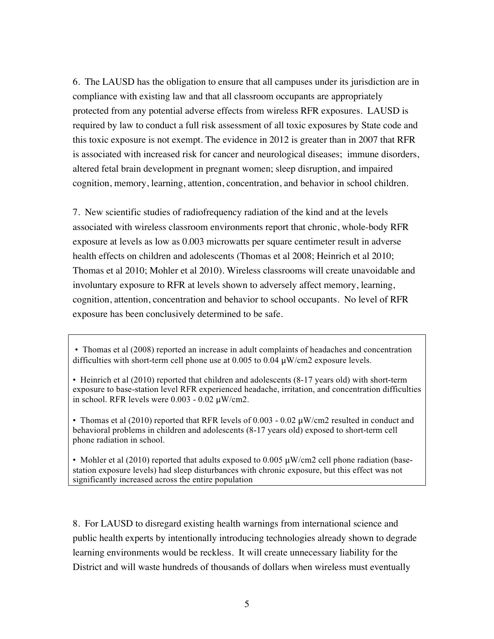6. The LAUSD has the obligation to ensure that all campuses under its jurisdiction are in compliance with existing law and that all classroom occupants are appropriately protected from any potential adverse effects from wireless RFR exposures. LAUSD is required by law to conduct a full risk assessment of all toxic exposures by State code and this toxic exposure is not exempt. The evidence in 2012 is greater than in 2007 that RFR is associated with increased risk for cancer and neurological diseases; immune disorders, altered fetal brain development in pregnant women; sleep disruption, and impaired cognition, memory, learning, attention, concentration, and behavior in school children.

7. New scientific studies of radiofrequency radiation of the kind and at the levels associated with wireless classroom environments report that chronic, whole-body RFR exposure at levels as low as 0.003 microwatts per square centimeter result in adverse health effects on children and adolescents (Thomas et al 2008; Heinrich et al 2010; Thomas et al 2010; Mohler et al 2010). Wireless classrooms will create unavoidable and involuntary exposure to RFR at levels shown to adversely affect memory, learning, cognition, attention, concentration and behavior to school occupants. No level of RFR exposure has been conclusively determined to be safe.

- Thomas et al (2008) reported an increase in adult complaints of headaches and concentration difficulties with short-term cell phone use at 0.005 to 0.04 μW/cm2 exposure levels.
- Heinrich et al (2010) reported that children and adolescents (8-17 years old) with short-term exposure to base-station level RFR experienced headache, irritation, and concentration difficulties in school. RFR levels were 0.003 - 0.02 μW/cm2.

• Thomas et al (2010) reported that RFR levels of 0.003 - 0.02  $\mu$ W/cm2 resulted in conduct and behavioral problems in children and adolescents (8-17 years old) exposed to short-term cell phone radiation in school.

• Mohler et al (2010) reported that adults exposed to 0.005  $\mu$ W/cm2 cell phone radiation (basestation exposure levels) had sleep disturbances with chronic exposure, but this effect was not significantly increased across the entire population

8. For LAUSD to disregard existing health warnings from international science and public health experts by intentionally introducing technologies already shown to degrade learning environments would be reckless. It will create unnecessary liability for the District and will waste hundreds of thousands of dollars when wireless must eventually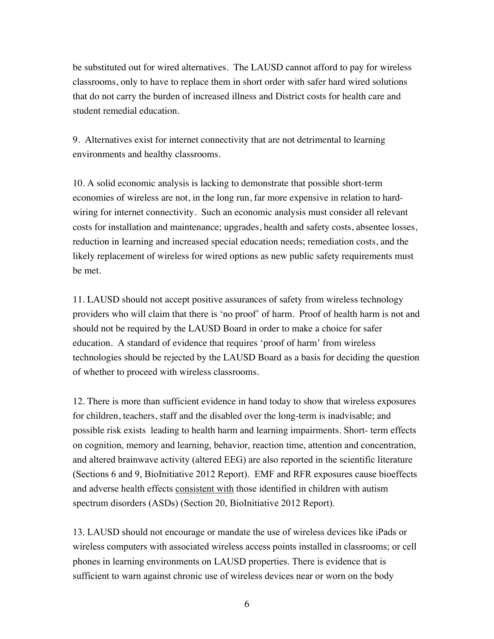be substituted out for wired alternatives. The LAUSD cannot afford to pay for wireless classrooms, only to have to replace them in short order with safer hard wired solutions that do not carry the burden of increased illness and District costs for health care and student remedial education.

9. Alternatives exist for internet connectivity that are not detrimental to learning environments and healthy classrooms.

10. A solid economic analysis is lacking to demonstrate that possible short-term economies of wireless are not, in the long run, far more expensive in relation to hardwiring for internet connectivity. Such an economic analysis must consider all relevant costs for installation and maintenance; upgrades, health and safety costs, absentee losses, reduction in learning and increased special education needs; remediation costs, and the likely replacement of wireless for wired options as new public safety requirements must be met.

11. LAUSD should not accept positive assurances of safety from wireless technology providers who will claim that there is 'no proof' of harm. Proof of health harm is not and should not be required by the LAUSD Board in order to make a choice for safer education. A standard of evidence that requires 'proof of harm' from wireless technologies should be rejected by the LAUSD Board as a basis for deciding the question of whether to proceed with wireless classrooms.

12. There is more than sufficient evidence in hand today to show that wireless exposures for children, teachers, staff and the disabled over the long-term is inadvisable; and possible risk exists leading to health harm and learning impairments. Short- term effects on cognition, memory and learning, behavior, reaction time, attention and concentration, and altered brainwave activity (altered EEG) are also reported in the scientific literature (Sections 6 and 9, BioInitiative 2012 Report). EMF and RFR exposures cause bioeffects and adverse health effects consistent with those identified in children with autism spectrum disorders (ASDs) (Section 20, BioInitiative 2012 Report).

13. LAUSD should not encourage or mandate the use of wireless devices like iPads or wireless computers with associated wireless access points installed in classrooms; or cell phones in learning environments on LAUSD properties. There is evidence that is sufficient to warn against chronic use of wireless devices near or worn on the body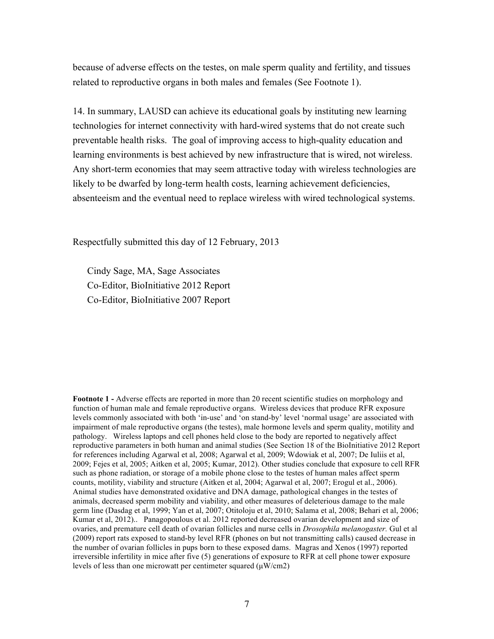because of adverse effects on the testes, on male sperm quality and fertility, and tissues related to reproductive organs in both males and females (See Footnote 1).

14. In summary, LAUSD can achieve its educational goals by instituting new learning technologies for internet connectivity with hard-wired systems that do not create such preventable health risks. The goal of improving access to high-quality education and learning environments is best achieved by new infrastructure that is wired, not wireless. Any short-term economies that may seem attractive today with wireless technologies are likely to be dwarfed by long-term health costs, learning achievement deficiencies, absenteeism and the eventual need to replace wireless with wired technological systems.

Respectfully submitted this day of 12 February, 2013

Cindy Sage, MA, Sage Associates Co-Editor, BioInitiative 2012 Report Co-Editor, BioInitiative 2007 Report

**Footnote 1 -** Adverse effects are reported in more than 20 recent scientific studies on morphology and function of human male and female reproductive organs. Wireless devices that produce RFR exposure levels commonly associated with both 'in-use' and 'on stand-by' level 'normal usage' are associated with impairment of male reproductive organs (the testes), male hormone levels and sperm quality, motility and pathology. Wireless laptops and cell phones held close to the body are reported to negatively affect reproductive parameters in both human and animal studies (See Section 18 of the BioInitiative 2012 Report for references including Agarwal et al, 2008; Agarwal et al, 2009; Wdowiak et al, 2007; De Iuliis et al, 2009; Fejes et al, 2005; Aitken et al, 2005; Kumar, 2012). Other studies conclude that exposure to cell RFR such as phone radiation, or storage of a mobile phone close to the testes of human males affect sperm counts, motility, viability and structure (Aitken et al, 2004; Agarwal et al, 2007; Erogul et al., 2006). Animal studies have demonstrated oxidative and DNA damage, pathological changes in the testes of animals, decreased sperm mobility and viability, and other measures of deleterious damage to the male germ line (Dasdag et al, 1999; Yan et al, 2007; Otitoloju et al, 2010; Salama et al, 2008; Behari et al, 2006; Kumar et al, 2012).. Panagopoulous et al. 2012 reported decreased ovarian development and size of ovaries, and premature cell death of ovarian follicles and nurse cells in *Drosophila melanogaster.* Gul et al (2009) report rats exposed to stand-by level RFR (phones on but not transmitting calls) caused decrease in the number of ovarian follicles in pups born to these exposed dams. Magras and Xenos (1997) reported irreversible infertility in mice after five (5) generations of exposure to RFR at cell phone tower exposure levels of less than one microwatt per centimeter squared  $(\mu W/cm2)$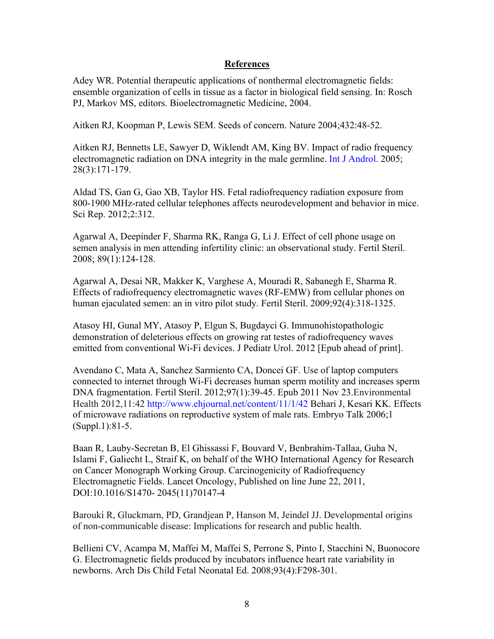### **References**

Adey WR. Potential therapeutic applications of nonthermal electromagnetic fields: ensemble organization of cells in tissue as a factor in biological field sensing. In: Rosch PJ, Markov MS, editors. Bioelectromagnetic Medicine, 2004.

Aitken RJ, Koopman P, Lewis SEM. Seeds of concern. Nature 2004;432:48-52.

Aitken RJ, Bennetts LE, Sawyer D, Wiklendt AM, King BV. Impact of radio frequency electromagnetic radiation on DNA integrity in the male germline. Int J Androl. 2005; 28(3):171-179.

Aldad TS, Gan G, Gao XB, Taylor HS. Fetal radiofrequency radiation exposure from 800-1900 MHz-rated cellular telephones affects neurodevelopment and behavior in mice. Sci Rep. 2012;2:312.

Agarwal A, Deepinder F, Sharma RK, Ranga G, Li J. Effect of cell phone usage on semen analysis in men attending infertility clinic: an observational study. Fertil Steril. 2008; 89(1):124-128.

Agarwal A, Desai NR, Makker K, Varghese A, Mouradi R, Sabanegh E, Sharma R. Effects of radiofrequency electromagnetic waves (RF-EMW) from cellular phones on human ejaculated semen: an in vitro pilot study. Fertil Steril. 2009;92(4):318-1325.

Atasoy HI, Gunal MY, Atasoy P, Elgun S, Bugdayci G. Immunohistopathologic demonstration of deleterious effects on growing rat testes of radiofrequency waves emitted from conventional Wi-Fi devices. J Pediatr Urol. 2012 [Epub ahead of print].

Avendano C, Mata A, Sanchez Sarmiento CA, Doncei GF. Use of laptop computers connected to internet through Wi-Fi decreases human sperm motility and increases sperm DNA fragmentation. Fertil Steril. 2012;97(1):39-45. Epub 2011 Nov 23.Environmental Health 2012,11:42 http://www.ehjournal.net/content/11/1/42 Behari J, Kesari KK. Effects of microwave radiations on reproductive system of male rats. Embryo Talk 2006;1 (Suppl.1):81-5.

Baan R, Lauby-Secretan B, El Ghissassi F, Bouvard V, Benbrahim-Tallaa, Guha N, Islami F, Galiecht L, Straif K, on behalf of the WHO International Agency for Research on Cancer Monograph Working Group. Carcinogenicity of Radiofrequency Electromagnetic Fields. Lancet Oncology, Published on line June 22, 2011, DOI:10.1016/S1470- 2045(11)70147-4

Barouki R, Gluckmarn, PD, Grandjean P, Hanson M, Jeindel JJ. Developmental origins of non-communicable disease: Implications for research and public health.

Bellieni CV, Acampa M, Maffei M, Maffei S, Perrone S, Pinto I, Stacchini N, Buonocore G. Electromagnetic fields produced by incubators influence heart rate variability in newborns. Arch Dis Child Fetal Neonatal Ed. 2008;93(4):F298-301.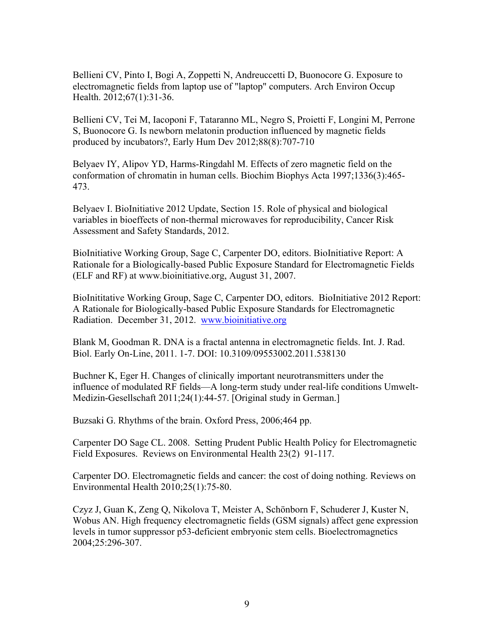Bellieni CV, Pinto I, Bogi A, Zoppetti N, Andreuccetti D, Buonocore G. Exposure to electromagnetic fields from laptop use of "laptop" computers. Arch Environ Occup Health. 2012;67(1):31-36.

Bellieni CV, Tei M, Iacoponi F, Tataranno ML, Negro S, Proietti F, Longini M, Perrone S, Buonocore G. Is newborn melatonin production influenced by magnetic fields produced by incubators?, Early Hum Dev 2012;88(8):707-710

Belyaev IY, Alipov YD, Harms-Ringdahl M. Effects of zero magnetic field on the conformation of chromatin in human cells. Biochim Biophys Acta 1997;1336(3):465- 473.

Belyaev I. BioInitiative 2012 Update, Section 15. Role of physical and biological variables in bioeffects of non-thermal microwaves for reproducibility, Cancer Risk Assessment and Safety Standards, 2012.

BioInitiative Working Group, Sage C, Carpenter DO, editors. BioInitiative Report: A Rationale for a Biologically-based Public Exposure Standard for Electromagnetic Fields (ELF and RF) at www.bioinitiative.org, August 31, 2007.

BioInititative Working Group, Sage C, Carpenter DO, editors. BioInitiative 2012 Report: A Rationale for Biologically-based Public Exposure Standards for Electromagnetic Radiation. December 31, 2012. www.bioinitiative.org

Blank M, Goodman R. DNA is a fractal antenna in electromagnetic fields. Int. J. Rad. Biol. Early On-Line, 2011. 1-7. DOI: 10.3109/09553002.2011.538130

Buchner K, Eger H. Changes of clinically important neurotransmitters under the influence of modulated RF fields—A long-term study under real-life conditions Umwelt-Medizin-Gesellschaft 2011;24(1):44-57. [Original study in German.]

Buzsaki G. Rhythms of the brain. Oxford Press, 2006;464 pp.

Carpenter DO Sage CL. 2008. Setting Prudent Public Health Policy for Electromagnetic Field Exposures. Reviews on Environmental Health 23(2) 91-117.

Carpenter DO. Electromagnetic fields and cancer: the cost of doing nothing. Reviews on Environmental Health 2010;25(1):75-80.

Czyz J, Guan K, Zeng Q, Nikolova T, Meister A, Schönborn F, Schuderer J, Kuster N, Wobus AN. High frequency electromagnetic fields (GSM signals) affect gene expression levels in tumor suppressor p53-deficient embryonic stem cells. Bioelectromagnetics 2004;25:296-307.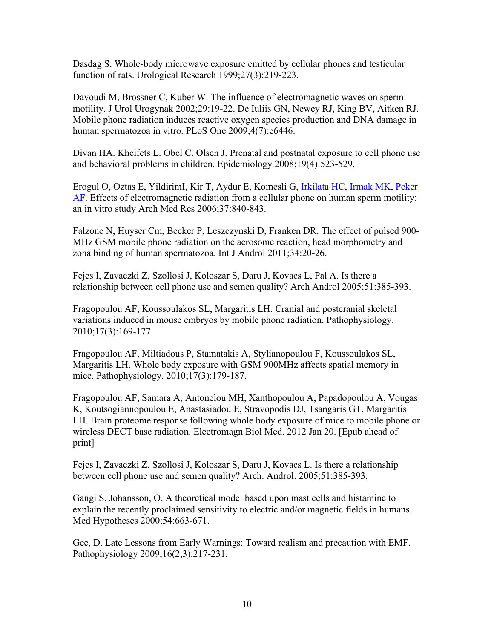Dasdag S. Whole-body microwave exposure emitted by cellular phones and testicular function of rats. Urological Research 1999;27(3):219-223.

Davoudi M, Brossner C, Kuber W. The influence of electromagnetic waves on sperm motility. J Urol Urogynak 2002;29:19-22. De Iuliis GN, Newey RJ, King BV, Aitken RJ. Mobile phone radiation induces reactive oxygen species production and DNA damage in human spermatozoa in vitro. PLoS One 2009;4(7):e6446.

Divan HA. Kheifets L. Obel C. Olsen J. Prenatal and postnatal exposure to cell phone use and behavioral problems in children. Epidemiology 2008;19(4):523-529.

Erogul O, Oztas E, YildirimI, Kir T, Aydur E, Komesli G, Irkilata HC, Irmak MK, Peker AF. Effects of electromagnetic radiation from a cellular phone on human sperm motility: an in vitro study Arch Med Res 2006;37:840-843.

Falzone N, Huyser Cm, Becker P, Leszczynski D, Franken DR. The effect of pulsed 900- MHz GSM mobile phone radiation on the acrosome reaction, head morphometry and zona binding of human spermatozoa. Int J Androl 2011;34:20-26.

Fejes I, Zavaczki Z, Szollosi J, Koloszar S, Daru J, Kovacs L, Pal A. Is there a relationship between cell phone use and semen quality? Arch Androl 2005;51:385-393.

Fragopoulou AF, Koussoulakos SL, Margaritis LH. Cranial and postcranial skeletal variations induced in mouse embryos by mobile phone radiation. Pathophysiology. 2010;17(3):169-177.

Fragopoulou AF, Miltiadous P, Stamatakis A, Stylianopoulou F, Koussoulakos SL, Margaritis LH. Whole body exposure with GSM 900MHz affects spatial memory in mice. Pathophysiology. 2010;17(3):179-187.

Fragopoulou AF, Samara A, Antonelou MH, Xanthopoulou A, Papadopoulou A, Vougas K, Koutsogiannopoulou E, Anastasiadou E, Stravopodis DJ, Tsangaris GT, Margaritis LH. Brain proteome response following whole body exposure of mice to mobile phone or wireless DECT base radiation. Electromagn Biol Med. 2012 Jan 20. [Epub ahead of print]

Fejes I, Zavaczki Z, Szollosi J, Koloszar S, Daru J, Kovacs L. Is there a relationship between cell phone use and semen quality? Arch. Androl. 2005;51:385-393.

Gangi S, Johansson, O. A theoretical model based upon mast cells and histamine to explain the recently proclaimed sensitivity to electric and/or magnetic fields in humans. Med Hypotheses 2000;54:663-671.

Gee, D. Late Lessons from Early Warnings: Toward realism and precaution with EMF. Pathophysiology 2009;16(2,3):217-231.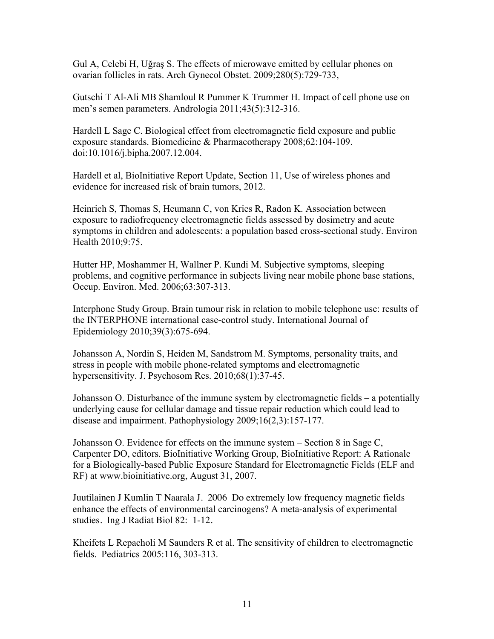Gul A, Celebi H, Uğraş S. The effects of microwave emitted by cellular phones on ovarian follicles in rats. Arch Gynecol Obstet. 2009;280(5):729-733,

Gutschi T Al-Ali MB Shamloul R Pummer K Trummer H. Impact of cell phone use on men's semen parameters. Andrologia 2011;43(5):312-316.

Hardell L Sage C. Biological effect from electromagnetic field exposure and public exposure standards. Biomedicine & Pharmacotherapy 2008;62:104-109. doi:10.1016/j.bipha.2007.12.004.

Hardell et al, BioInitiative Report Update, Section 11, Use of wireless phones and evidence for increased risk of brain tumors, 2012.

Heinrich S, Thomas S, Heumann C, von Kries R, Radon K. Association between exposure to radiofrequency electromagnetic fields assessed by dosimetry and acute symptoms in children and adolescents: a population based cross-sectional study. Environ Health 2010;9:75.

Hutter HP, Moshammer H, Wallner P. Kundi M. Subjective symptoms, sleeping problems, and cognitive performance in subjects living near mobile phone base stations, Occup. Environ. Med. 2006;63:307-313.

Interphone Study Group. Brain tumour risk in relation to mobile telephone use: results of the INTERPHONE international case-control study. International Journal of Epidemiology 2010;39(3):675-694.

Johansson A, Nordin S, Heiden M, Sandstrom M. Symptoms, personality traits, and stress in people with mobile phone-related symptoms and electromagnetic hypersensitivity. J. Psychosom Res. 2010;68(1):37-45.

Johansson O. Disturbance of the immune system by electromagnetic fields – a potentially underlying cause for cellular damage and tissue repair reduction which could lead to disease and impairment. Pathophysiology 2009;16(2,3):157-177.

Johansson O. Evidence for effects on the immune system – Section 8 in Sage C, Carpenter DO, editors. BioInitiative Working Group, BioInitiative Report: A Rationale for a Biologically-based Public Exposure Standard for Electromagnetic Fields (ELF and RF) at www.bioinitiative.org, August 31, 2007.

Juutilainen J Kumlin T Naarala J. 2006 Do extremely low frequency magnetic fields enhance the effects of environmental carcinogens? A meta-analysis of experimental studies. Ing J Radiat Biol 82: 1-12.

Kheifets L Repacholi M Saunders R et al. The sensitivity of children to electromagnetic fields. Pediatrics 2005:116, 303-313.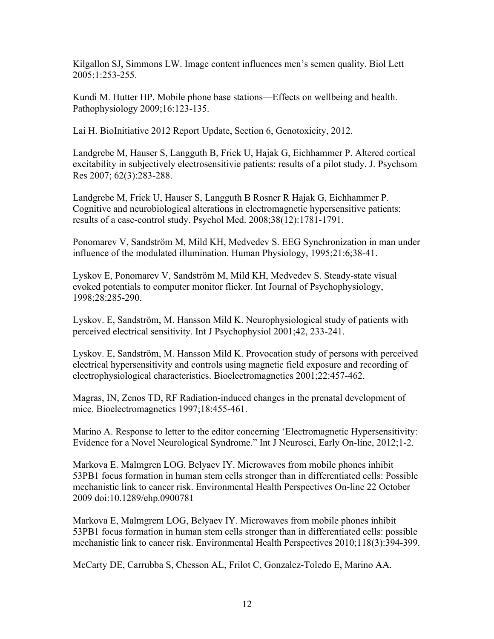Kilgallon SJ, Simmons LW. Image content influences men's semen quality. Biol Lett 2005;1:253-255.

Kundi M. Hutter HP. Mobile phone base stations—Effects on wellbeing and health. Pathophysiology 2009;16:123-135.

Lai H. BioInitiative 2012 Report Update, Section 6, Genotoxicity, 2012.

Landgrebe M, Hauser S, Langguth B, Frick U, Hajak G, Eichhammer P. Altered cortical excitability in subjectively electrosensitivie patients: results of a pilot study. J. Psychsom Res 2007; 62(3):283-288.

Landgrebe M, Frick U, Hauser S, Langguth B Rosner R Hajak G, Eichhammer P. Cognitive and neurobiological alterations in electromagnetic hypersensitive patients: results of a case-control study. Psychol Med. 2008;38(12):1781-1791.

Ponomarev V, Sandström M, Mild KH, Medvedev S. EEG Synchronization in man under influence of the modulated illumination. Human Physiology, 1995;21:6;38-41.

Lyskov E, Ponomarev V, Sandström M, Mild KH, Medvedev S. Steady-state visual evoked potentials to computer monitor flicker. Int Journal of Psychophysiology, 1998;28:285-290.

Lyskov. E, Sandström, M. Hansson Mild K. Neurophysiological study of patients with perceived electrical sensitivity. Int J Psychophysiol 2001;42, 233-241.

Lyskov. E, Sandström, M. Hansson Mild K. Provocation study of persons with perceived electrical hypersensitivity and controls using magnetic field exposure and recording of electrophysiological characteristics. Bioelectromagnetics 2001;22:457-462.

Magras, IN, Zenos TD, RF Radiation-induced changes in the prenatal development of mice. Bioelectromagnetics 1997;18:455-461.

Marino A. Response to letter to the editor concerning 'Electromagnetic Hypersensitivity: Evidence for a Novel Neurological Syndrome." Int J Neurosci, Early On-line, 2012;1-2.

Markova E. Malmgren LOG. Belyaev IY. Microwaves from mobile phones inhibit 53PB1 focus formation in human stem cells stronger than in differentiated cells: Possible mechanistic link to cancer risk. Environmental Health Perspectives On-line 22 October 2009 doi:10.1289/ehp.0900781

Markova E, Malmgrem LOG, Belyaev IY. Microwaves from mobile phones inhibit 53PB1 focus formation in human stem cells stronger than in differentiated cells: possible mechanistic link to cancer risk. Environmental Health Perspectives 2010;118(3):394-399.

McCarty DE, Carrubba S, Chesson AL, Frilot C, Gonzalez-Toledo E, Marino AA.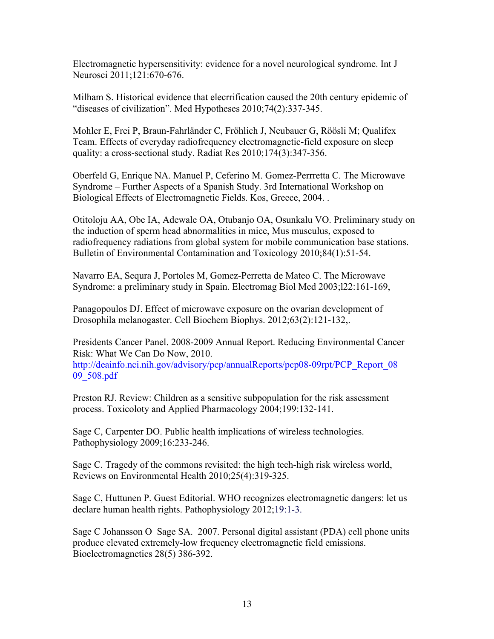Electromagnetic hypersensitivity: evidence for a novel neurological syndrome. Int J Neurosci 2011;121:670-676.

Milham S. Historical evidence that elecrrification caused the 20th century epidemic of "diseases of civilization". Med Hypotheses 2010;74(2):337-345.

Mohler E, Frei P, Braun-Fahrländer C, Fröhlich J, Neubauer G, Röösli M; Qualifex Team. Effects of everyday radiofrequency electromagnetic-field exposure on sleep quality: a cross-sectional study. Radiat Res 2010;174(3):347-356.

Oberfeld G, Enrique NA. Manuel P, Ceferino M. Gomez-Perrretta C. The Microwave Syndrome – Further Aspects of a Spanish Study. 3rd International Workshop on Biological Effects of Electromagnetic Fields. Kos, Greece, 2004. .

Otitoloju AA, Obe IA, Adewale OA, Otubanjo OA, Osunkalu VO. Preliminary study on the induction of sperm head abnormalities in mice, Mus musculus, exposed to radiofrequency radiations from global system for mobile communication base stations. Bulletin of Environmental Contamination and Toxicology 2010;84(1):51-54.

Navarro EA, Sequra J, Portoles M, Gomez-Perretta de Mateo C. The Microwave Syndrome: a preliminary study in Spain. Electromag Biol Med 2003;l22:161-169,

Panagopoulos DJ. Effect of microwave exposure on the ovarian development of Drosophila melanogaster. Cell Biochem Biophys. 2012;63(2):121-132,.

Presidents Cancer Panel. 2008-2009 Annual Report. Reducing Environmental Cancer Risk: What We Can Do Now, 2010. http://deainfo.nci.nih.gov/advisory/pcp/annualReports/pcp08-09rpt/PCP\_Report\_08

09\_508.pdf

Preston RJ. Review: Children as a sensitive subpopulation for the risk assessment process. Toxicoloty and Applied Pharmacology 2004;199:132-141.

Sage C, Carpenter DO. Public health implications of wireless technologies. Pathophysiology 2009;16:233-246.

Sage C. Tragedy of the commons revisited: the high tech-high risk wireless world, Reviews on Environmental Health 2010;25(4):319-325.

Sage C, Huttunen P. Guest Editorial. WHO recognizes electromagnetic dangers: let us declare human health rights. Pathophysiology 2012;19:1-3.

Sage C Johansson O Sage SA. 2007. Personal digital assistant (PDA) cell phone units produce elevated extremely-low frequency electromagnetic field emissions. Bioelectromagnetics 28(5) 386-392.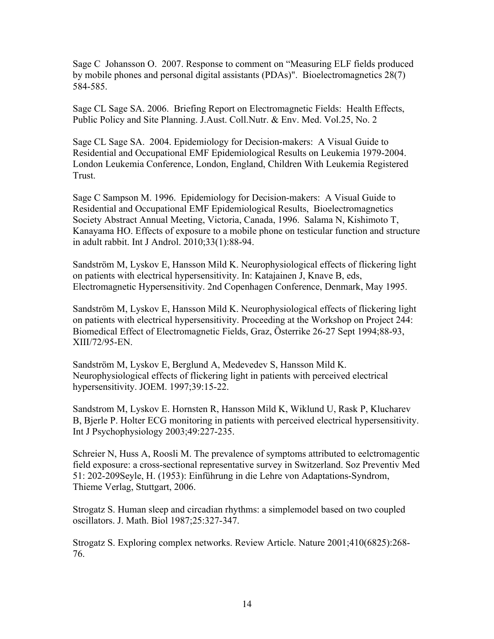Sage C Johansson O. 2007. Response to comment on "Measuring ELF fields produced by mobile phones and personal digital assistants (PDAs)". Bioelectromagnetics 28(7) 584-585.

Sage CL Sage SA. 2006. Briefing Report on Electromagnetic Fields: Health Effects, Public Policy and Site Planning. J.Aust. Coll.Nutr. & Env. Med. Vol.25, No. 2

Sage CL Sage SA. 2004. Epidemiology for Decision-makers: A Visual Guide to Residential and Occupational EMF Epidemiological Results on Leukemia 1979-2004. London Leukemia Conference, London, England, Children With Leukemia Registered Trust.

Sage C Sampson M. 1996. Epidemiology for Decision-makers: A Visual Guide to Residential and Occupational EMF Epidemiological Results, Bioelectromagnetics Society Abstract Annual Meeting, Victoria, Canada, 1996. Salama N, Kishimoto T, Kanayama HO. Effects of exposure to a mobile phone on testicular function and structure in adult rabbit. Int J Androl. 2010;33(1):88-94.

Sandström M, Lyskov E, Hansson Mild K. Neurophysiological effects of flickering light on patients with electrical hypersensitivity. In: Katajainen J, Knave B, eds, Electromagnetic Hypersensitivity. 2nd Copenhagen Conference, Denmark, May 1995.

Sandström M, Lyskov E, Hansson Mild K. Neurophysiological effects of flickering light on patients with electrical hypersensitivity. Proceeding at the Workshop on Project 244: Biomedical Effect of Electromagnetic Fields, Graz, Österrike 26-27 Sept 1994;88-93, XIII/72/95-EN.

Sandström M, Lyskov E, Berglund A, Medevedev S, Hansson Mild K. Neurophysiological effects of flickering light in patients with perceived electrical hypersensitivity. JOEM. 1997;39:15-22.

Sandstrom M, Lyskov E. Hornsten R, Hansson Mild K, Wiklund U, Rask P, Klucharev B, Bjerle P. Holter ECG monitoring in patients with perceived electrical hypersensitivity. Int J Psychophysiology 2003;49:227-235.

Schreier N, Huss A, Roosli M. The prevalence of symptoms attributed to eelctromagentic field exposure: a cross-sectional representative survey in Switzerland. Soz Preventiv Med 51: 202-209Seyle, H. (1953): Einführung in die Lehre von Adaptations-Syndrom, Thieme Verlag, Stuttgart, 2006.

Strogatz S. Human sleep and circadian rhythms: a simplemodel based on two coupled oscillators. J. Math. Biol 1987;25:327-347.

Strogatz S. Exploring complex networks. Review Article. Nature 2001;410(6825):268- 76.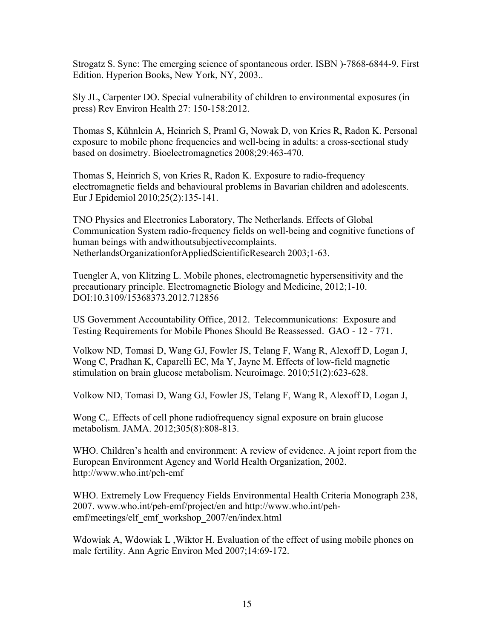Strogatz S. Sync: The emerging science of spontaneous order. ISBN )-7868-6844-9. First Edition. Hyperion Books, New York, NY, 2003..

Sly JL, Carpenter DO. Special vulnerability of children to environmental exposures (in press) Rev Environ Health 27: 150-158:2012.

Thomas S, Kühnlein A, Heinrich S, Praml G, Nowak D, von Kries R, Radon K. Personal exposure to mobile phone frequencies and well-being in adults: a cross-sectional study based on dosimetry. Bioelectromagnetics 2008;29:463-470.

Thomas S, Heinrich S, von Kries R, Radon K. Exposure to radio-frequency electromagnetic fields and behavioural problems in Bavarian children and adolescents. Eur J Epidemiol 2010;25(2):135-141.

TNO Physics and Electronics Laboratory, The Netherlands. Effects of Global Communication System radio-frequency fields on well-being and cognitive functions of human beings with andwithoutsubjectivecomplaints. NetherlandsOrganizationforAppliedScientificResearch 2003;1-63.

Tuengler A, von Klitzing L. Mobile phones, electromagnetic hypersensitivity and the precautionary principle. Electromagnetic Biology and Medicine, 2012;1-10. DOI:10.3109/15368373.2012.712856

US Government Accountability Office, 2012. Telecommunications: Exposure and Testing Requirements for Mobile Phones Should Be Reassessed. GAO - 12 - 771.

Volkow ND, Tomasi D, Wang GJ, Fowler JS, Telang F, Wang R, Alexoff D, Logan J, Wong C, Pradhan K, Caparelli EC, Ma Y, Jayne M. Effects of low-field magnetic stimulation on brain glucose metabolism. Neuroimage. 2010;51(2):623-628.

Volkow ND, Tomasi D, Wang GJ, Fowler JS, Telang F, Wang R, Alexoff D, Logan J,

Wong C,. Effects of cell phone radiofrequency signal exposure on brain glucose metabolism. JAMA. 2012;305(8):808-813.

WHO. Children's health and environment: A review of evidence. A joint report from the European Environment Agency and World Health Organization, 2002. http://www.who.int/peh-emf

WHO. Extremely Low Frequency Fields Environmental Health Criteria Monograph 238, 2007. www.who.int/peh-emf/project/en and http://www.who.int/pehemf/meetings/elf\_emf\_workshop\_2007/en/index.html

Wdowiak A, Wdowiak L ,Wiktor H. Evaluation of the effect of using mobile phones on male fertility. Ann Agric Environ Med 2007;14:69-172.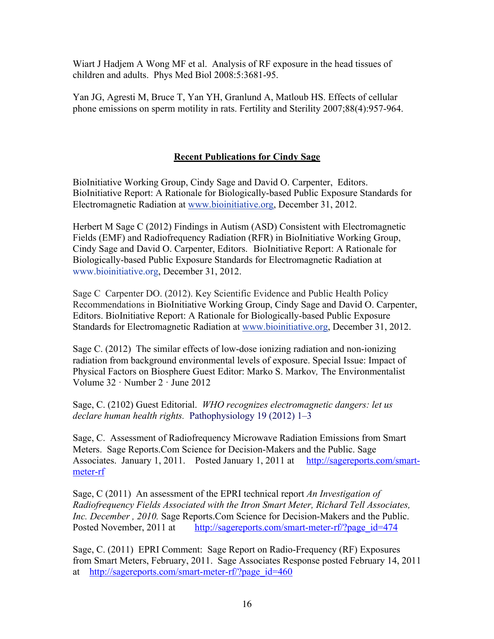Wiart J Hadjem A Wong MF et al. Analysis of RF exposure in the head tissues of children and adults. Phys Med Biol 2008:5:3681-95.

Yan JG, Agresti M, Bruce T, Yan YH, Granlund A, Matloub HS. Effects of cellular phone emissions on sperm motility in rats. Fertility and Sterility 2007;88(4):957-964.

## **Recent Publications for Cindy Sage**

BioInitiative Working Group, Cindy Sage and David O. Carpenter, Editors. BioInitiative Report: A Rationale for Biologically-based Public Exposure Standards for Electromagnetic Radiation at www.bioinitiative.org, December 31, 2012.

Herbert M Sage C (2012) Findings in Autism (ASD) Consistent with Electromagnetic Fields (EMF) and Radiofrequency Radiation (RFR) in BioInitiative Working Group, Cindy Sage and David O. Carpenter, Editors. BioInitiative Report: A Rationale for Biologically-based Public Exposure Standards for Electromagnetic Radiation at www.bioinitiative.org, December 31, 2012.

Sage C Carpenter DO. (2012). Key Scientific Evidence and Public Health Policy Recommendations in BioInitiative Working Group, Cindy Sage and David O. Carpenter, Editors. BioInitiative Report: A Rationale for Biologically-based Public Exposure Standards for Electromagnetic Radiation at www.bioinitiative.org, December 31, 2012.

Sage C. (2012) The similar effects of low-dose ionizing radiation and non-ionizing radiation from background environmental levels of exposure. Special Issue: Impact of Physical Factors on Biosphere Guest Editor: Marko S. Markov*,* The Environmentalist Volume 32 · Number 2 · June 2012

Sage, C. (2102) Guest Editorial. *WHO recognizes electromagnetic dangers: let us declare human health rights.* Pathophysiology 19 (2012) 1–3

Sage, C. Assessment of Radiofrequency Microwave Radiation Emissions from Smart Meters. Sage Reports.Com Science for Decision-Makers and the Public. Sage Associates. January 1, 2011. Posted January 1, 2011 at http://sagereports.com/smartmeter-rf

Sage, C (2011) An assessment of the EPRI technical report *An Investigation of Radiofrequency Fields Associated with the Itron Smart Meter, Richard Tell Associates, Inc. December , 2010.* Sage Reports.Com Science for Decision-Makers and the Public. Posted November, 2011 at http://sagereports.com/smart-meter-rf/?page\_id=474

Sage, C. (2011) EPRI Comment: Sage Report on Radio-Frequency (RF) Exposures from Smart Meters, February, 2011. Sage Associates Response posted February 14, 2011 at http://sagereports.com/smart-meter-rf/?page\_id=460